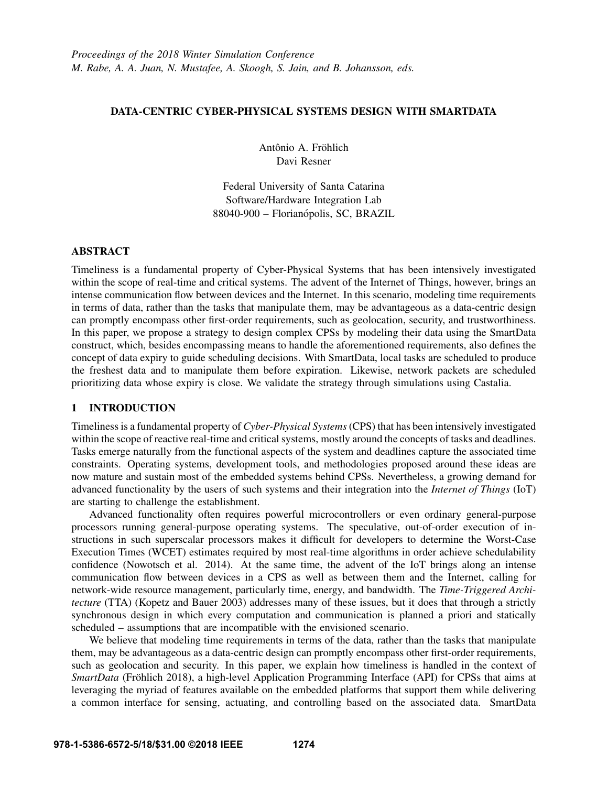## DATA-CENTRIC CYBER-PHYSICAL SYSTEMS DESIGN WITH SMARTDATA

Antônio A. Fröhlich Davi Resner

Federal University of Santa Catarina Software/Hardware Integration Lab 88040-900 – Florianópolis, SC, BRAZIL

# ABSTRACT

Timeliness is a fundamental property of Cyber-Physical Systems that has been intensively investigated within the scope of real-time and critical systems. The advent of the Internet of Things, however, brings an intense communication flow between devices and the Internet. In this scenario, modeling time requirements in terms of data, rather than the tasks that manipulate them, may be advantageous as a data-centric design can promptly encompass other first-order requirements, such as geolocation, security, and trustworthiness. In this paper, we propose a strategy to design complex CPSs by modeling their data using the SmartData construct, which, besides encompassing means to handle the aforementioned requirements, also defines the concept of data expiry to guide scheduling decisions. With SmartData, local tasks are scheduled to produce the freshest data and to manipulate them before expiration. Likewise, network packets are scheduled prioritizing data whose expiry is close. We validate the strategy through simulations using Castalia.

## 1 INTRODUCTION

Timeliness is a fundamental property of *Cyber-Physical Systems* (CPS) that has been intensively investigated within the scope of reactive real-time and critical systems, mostly around the concepts of tasks and deadlines. Tasks emerge naturally from the functional aspects of the system and deadlines capture the associated time constraints. Operating systems, development tools, and methodologies proposed around these ideas are now mature and sustain most of the embedded systems behind CPSs. Nevertheless, a growing demand for advanced functionality by the users of such systems and their integration into the *Internet of Things* (IoT) are starting to challenge the establishment.

Advanced functionality often requires powerful microcontrollers or even ordinary general-purpose processors running general-purpose operating systems. The speculative, out-of-order execution of instructions in such superscalar processors makes it difficult for developers to determine the Worst-Case Execution Times (WCET) estimates required by most real-time algorithms in order achieve schedulability confidence (Nowotsch et al. 2014). At the same time, the advent of the IoT brings along an intense communication flow between devices in a CPS as well as between them and the Internet, calling for network-wide resource management, particularly time, energy, and bandwidth. The *Time-Triggered Architecture* (TTA) (Kopetz and Bauer 2003) addresses many of these issues, but it does that through a strictly synchronous design in which every computation and communication is planned a priori and statically scheduled – assumptions that are incompatible with the envisioned scenario.

We believe that modeling time requirements in terms of the data, rather than the tasks that manipulate them, may be advantageous as a data-centric design can promptly encompass other first-order requirements, such as geolocation and security. In this paper, we explain how timeliness is handled in the context of *SmartData* (Fröhlich 2018), a high-level Application Programming Interface (API) for CPSs that aims at leveraging the myriad of features available on the embedded platforms that support them while delivering a common interface for sensing, actuating, and controlling based on the associated data. SmartData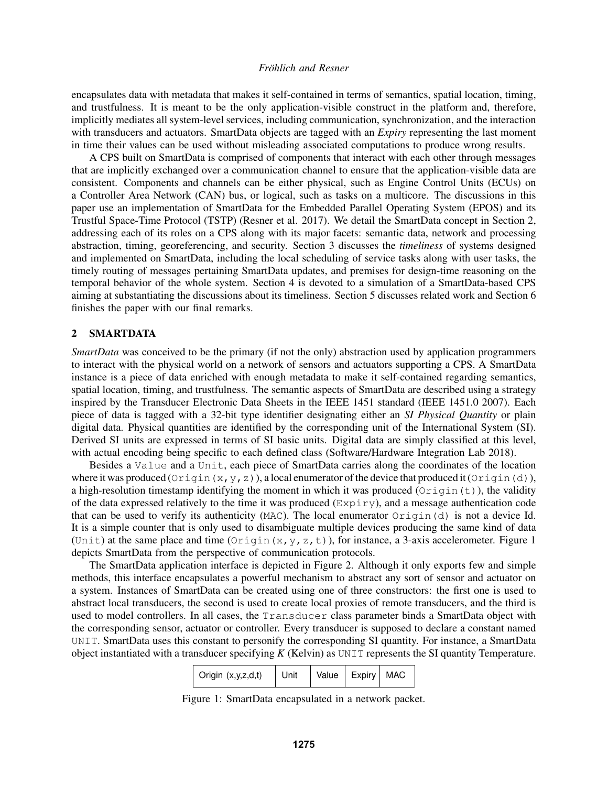encapsulates data with metadata that makes it self-contained in terms of semantics, spatial location, timing, and trustfulness. It is meant to be the only application-visible construct in the platform and, therefore, implicitly mediates all system-level services, including communication, synchronization, and the interaction with transducers and actuators. SmartData objects are tagged with an *Expiry* representing the last moment in time their values can be used without misleading associated computations to produce wrong results.

A CPS built on SmartData is comprised of components that interact with each other through messages that are implicitly exchanged over a communication channel to ensure that the application-visible data are consistent. Components and channels can be either physical, such as Engine Control Units (ECUs) on a Controller Area Network (CAN) bus, or logical, such as tasks on a multicore. The discussions in this paper use an implementation of SmartData for the Embedded Parallel Operating System (EPOS) and its Trustful Space-Time Protocol (TSTP) (Resner et al. 2017). We detail the SmartData concept in Section 2, addressing each of its roles on a CPS along with its major facets: semantic data, network and processing abstraction, timing, georeferencing, and security. Section 3 discusses the *timeliness* of systems designed and implemented on SmartData, including the local scheduling of service tasks along with user tasks, the timely routing of messages pertaining SmartData updates, and premises for design-time reasoning on the temporal behavior of the whole system. Section 4 is devoted to a simulation of a SmartData-based CPS aiming at substantiating the discussions about its timeliness. Section 5 discusses related work and Section 6 finishes the paper with our final remarks.

## 2 SMARTDATA

*SmartData* was conceived to be the primary (if not the only) abstraction used by application programmers to interact with the physical world on a network of sensors and actuators supporting a CPS. A SmartData instance is a piece of data enriched with enough metadata to make it self-contained regarding semantics, spatial location, timing, and trustfulness. The semantic aspects of SmartData are described using a strategy inspired by the Transducer Electronic Data Sheets in the IEEE 1451 standard (IEEE 1451.0 2007). Each piece of data is tagged with a 32-bit type identifier designating either an *SI Physical Quantity* or plain digital data. Physical quantities are identified by the corresponding unit of the International System (SI). Derived SI units are expressed in terms of SI basic units. Digital data are simply classified at this level, with actual encoding being specific to each defined class (Software/Hardware Integration Lab 2018).

Besides a Value and a Unit, each piece of SmartData carries along the coordinates of the location where it was produced ( $Oriqin(x,y,z)$ ), a local enumerator of the device that produced it  $Oriqin(d)$ ), a high-resolution timestamp identifying the moment in which it was produced ( $O$ rigin(t)), the validity of the data expressed relatively to the time it was produced (Expiry), and a message authentication code that can be used to verify its authenticity (MAC). The local enumerator  $Oriqin(d)$  is not a device Id. It is a simple counter that is only used to disambiguate multiple devices producing the same kind of data (Unit) at the same place and time (Origin(x, y, z, t)), for instance, a 3-axis accelerometer. Figure 1 depicts SmartData from the perspective of communication protocols.

The SmartData application interface is depicted in Figure 2. Although it only exports few and simple methods, this interface encapsulates a powerful mechanism to abstract any sort of sensor and actuator on a system. Instances of SmartData can be created using one of three constructors: the first one is used to abstract local transducers, the second is used to create local proxies of remote transducers, and the third is used to model controllers. In all cases, the Transducer class parameter binds a SmartData object with the corresponding sensor, actuator or controller. Every transducer is supposed to declare a constant named UNIT. SmartData uses this constant to personify the corresponding SI quantity. For instance, a SmartData object instantiated with a transducer specifying *K* (Kelvin) as UNIT represents the SI quantity Temperature.

| $\vert$ Origin $(x,y,z,d,t)$ | Unit | Value   Expiry   MAC |  |  |
|------------------------------|------|----------------------|--|--|
|------------------------------|------|----------------------|--|--|

Figure 1: SmartData encapsulated in a network packet.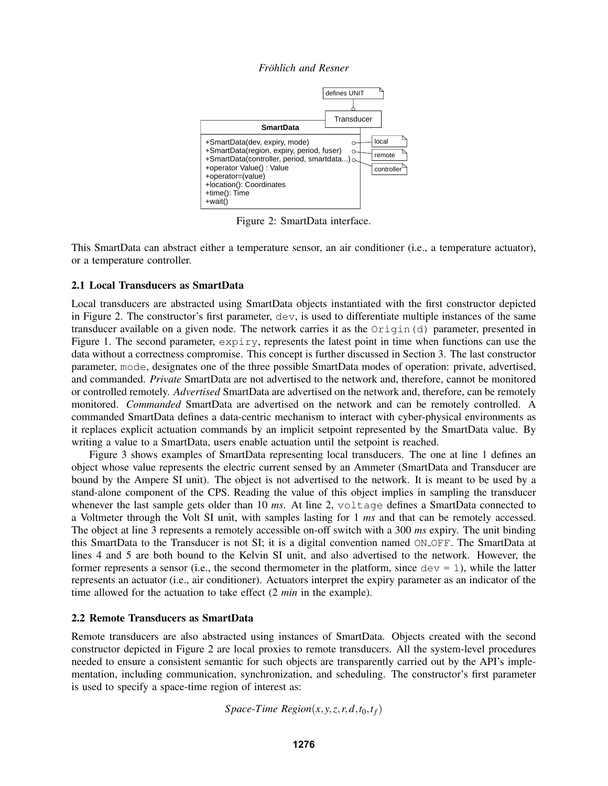*Frohlich and Resner ¨*



Figure 2: SmartData interface.

This SmartData can abstract either a temperature sensor, an air conditioner (i.e., a temperature actuator), or a temperature controller.

### 2.1 Local Transducers as SmartData

Local transducers are abstracted using SmartData objects instantiated with the first constructor depicted in Figure 2. The constructor's first parameter, dev, is used to differentiate multiple instances of the same transducer available on a given node. The network carries it as the  $Oriqin(d)$  parameter, presented in Figure 1. The second parameter, expiry, represents the latest point in time when functions can use the data without a correctness compromise. This concept is further discussed in Section 3. The last constructor parameter, mode, designates one of the three possible SmartData modes of operation: private, advertised, and commanded. *Private* SmartData are not advertised to the network and, therefore, cannot be monitored or controlled remotely. *Advertised* SmartData are advertised on the network and, therefore, can be remotely monitored. *Commanded* SmartData are advertised on the network and can be remotely controlled. A commanded SmartData defines a data-centric mechanism to interact with cyber-physical environments as it replaces explicit actuation commands by an implicit setpoint represented by the SmartData value. By writing a value to a SmartData, users enable actuation until the setpoint is reached.

Figure 3 shows examples of SmartData representing local transducers. The one at line 1 defines an object whose value represents the electric current sensed by an Ammeter (SmartData and Transducer are bound by the Ampere SI unit). The object is not advertised to the network. It is meant to be used by a stand-alone component of the CPS. Reading the value of this object implies in sampling the transducer whenever the last sample gets older than 10 *ms*. At line 2, voltage defines a SmartData connected to a Voltmeter through the Volt SI unit, with samples lasting for 1 *ms* and that can be remotely accessed. The object at line 3 represents a remotely accessible on-off switch with a 300 *ms* expiry. The unit binding this SmartData to the Transducer is not SI; it is a digital convention named ON OFF. The SmartData at lines 4 and 5 are both bound to the Kelvin SI unit, and also advertised to the network. However, the former represents a sensor (i.e., the second thermometer in the platform, since  $dev = 1$ ), while the latter represents an actuator (i.e., air conditioner). Actuators interpret the expiry parameter as an indicator of the time allowed for the actuation to take effect (2 *min* in the example).

### 2.2 Remote Transducers as SmartData

Remote transducers are also abstracted using instances of SmartData. Objects created with the second constructor depicted in Figure 2 are local proxies to remote transducers. All the system-level procedures needed to ensure a consistent semantic for such objects are transparently carried out by the API's implementation, including communication, synchronization, and scheduling. The constructor's first parameter is used to specify a space-time region of interest as:

*Space*-*Time Region* $(x, y, z, r, d, t_0, t_f)$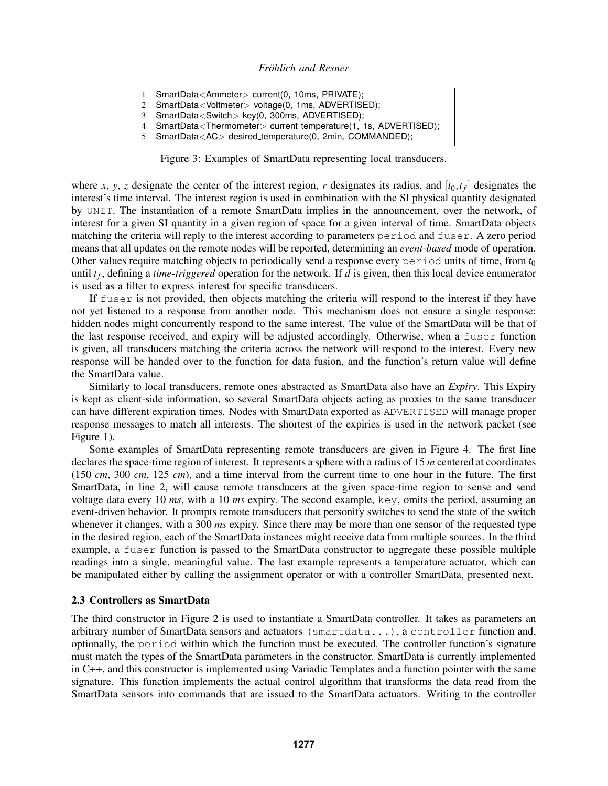- 1 SmartData<Ammeter> current(0, 10ms, PRIVATE);
- 2 SmartData<Voltmeter> voltage(0, 1ms, ADVERTISED);
- 3 SmartData<Switch> key(0, 300ms, ADVERTISED);
- 4 SmartData<Thermometer> current temperature(1, 1s, ADVERTISED);<br>5 SmartData<AC> desired temperature(0, 2min, COMMANDED); 5 SmartData<AC> desired temperature(0, 2min, COMMANDED);
- 

Figure 3: Examples of SmartData representing local transducers.

where *x*, *y*, *z* designate the center of the interest region, *r* designates its radius, and  $[t_0, t_f]$  designates the interest's time interval. The interest region is used in combination with the SI physical quantity designated by UNIT. The instantiation of a remote SmartData implies in the announcement, over the network, of interest for a given SI quantity in a given region of space for a given interval of time. SmartData objects matching the criteria will reply to the interest according to parameters period and fuser. A zero period means that all updates on the remote nodes will be reported, determining an *event-based* mode of operation. Other values require matching objects to periodically send a response every period units of time, from *t*<sup>0</sup> until *t<sup>f</sup>* , defining a *time-triggered* operation for the network. If *d* is given, then this local device enumerator is used as a filter to express interest for specific transducers.

If fuser is not provided, then objects matching the criteria will respond to the interest if they have not yet listened to a response from another node. This mechanism does not ensure a single response: hidden nodes might concurrently respond to the same interest. The value of the SmartData will be that of the last response received, and expiry will be adjusted accordingly. Otherwise, when a fuser function is given, all transducers matching the criteria across the network will respond to the interest. Every new response will be handed over to the function for data fusion, and the function's return value will define the SmartData value.

Similarly to local transducers, remote ones abstracted as SmartData also have an *Expiry*. This Expiry is kept as client-side information, so several SmartData objects acting as proxies to the same transducer can have different expiration times. Nodes with SmartData exported as ADVERTISED will manage proper response messages to match all interests. The shortest of the expiries is used in the network packet (see Figure 1).

Some examples of SmartData representing remote transducers are given in Figure 4. The first line declares the space-time region of interest. It represents a sphere with a radius of 15 *m* centered at coordinates (150 *cm*, 300 *cm*, 125 *cm*), and a time interval from the current time to one hour in the future. The first SmartData, in line 2, will cause remote transducers at the given space-time region to sense and send voltage data every 10 *ms*, with a 10 *ms* expiry. The second example, key, omits the period, assuming an event-driven behavior. It prompts remote transducers that personify switches to send the state of the switch whenever it changes, with a 300 *ms* expiry. Since there may be more than one sensor of the requested type in the desired region, each of the SmartData instances might receive data from multiple sources. In the third example, a fuser function is passed to the SmartData constructor to aggregate these possible multiple readings into a single, meaningful value. The last example represents a temperature actuator, which can be manipulated either by calling the assignment operator or with a controller SmartData, presented next.

### 2.3 Controllers as SmartData

The third constructor in Figure 2 is used to instantiate a SmartData controller. It takes as parameters an arbitrary number of SmartData sensors and actuators (smartdata...), a controller function and, optionally, the period within which the function must be executed. The controller function's signature must match the types of the SmartData parameters in the constructor. SmartData is currently implemented in C++, and this constructor is implemented using Variadic Templates and a function pointer with the same signature. This function implements the actual control algorithm that transforms the data read from the SmartData sensors into commands that are issued to the SmartData actuators. Writing to the controller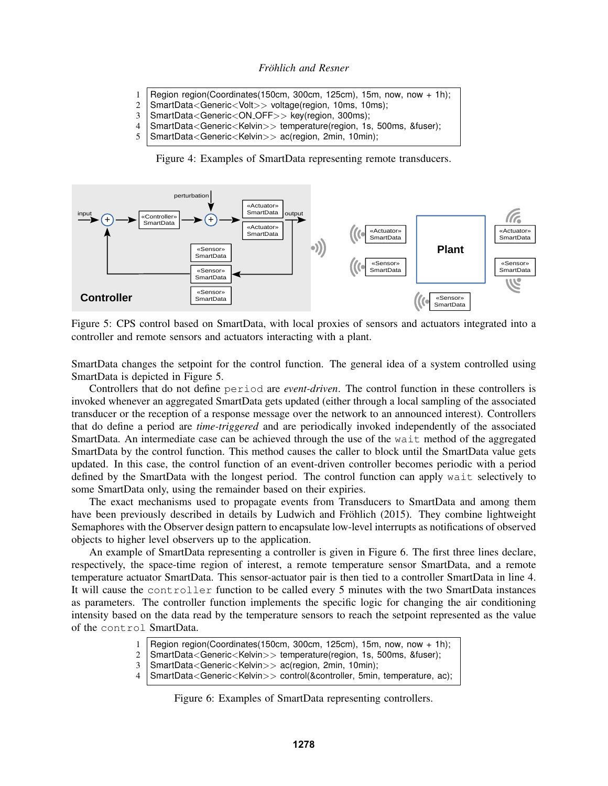- 1 | Region region(Coordinates(150cm, 300cm, 125cm), 15m, now, now + 1h);
- 2 | SmartData<Generic<Volt>> voltage(region, 10ms, 10ms);
- 3 | SmartData<Generic<ON\_OFF>> key(region, 300ms);
- 4 SmartData<Generic<Kelvin>> temperature(region, 1s, 500ms, &fuser);
- 5 SmartData<Generic<Kelvin>> ac(region, 2min, 10min);

Figure 4: Examples of SmartData representing remote transducers.



Figure 5: CPS control based on SmartData, with local proxies of sensors and actuators integrated into a controller and remote sensors and actuators interacting with a plant.

SmartData changes the setpoint for the control function. The general idea of a system controlled using SmartData is depicted in Figure 5.

Controllers that do not define period are *event-driven*. The control function in these controllers is invoked whenever an aggregated SmartData gets updated (either through a local sampling of the associated transducer or the reception of a response message over the network to an announced interest). Controllers that do define a period are *time-triggered* and are periodically invoked independently of the associated SmartData. An intermediate case can be achieved through the use of the wait method of the aggregated SmartData by the control function. This method causes the caller to block until the SmartData value gets updated. In this case, the control function of an event-driven controller becomes periodic with a period defined by the SmartData with the longest period. The control function can apply wait selectively to some SmartData only, using the remainder based on their expiries.

The exact mechanisms used to propagate events from Transducers to SmartData and among them have been previously described in details by Ludwich and Fröhlich (2015). They combine lightweight Semaphores with the Observer design pattern to encapsulate low-level interrupts as notifications of observed objects to higher level observers up to the application.

An example of SmartData representing a controller is given in Figure 6. The first three lines declare, respectively, the space-time region of interest, a remote temperature sensor SmartData, and a remote temperature actuator SmartData. This sensor-actuator pair is then tied to a controller SmartData in line 4. It will cause the controller function to be called every 5 minutes with the two SmartData instances as parameters. The controller function implements the specific logic for changing the air conditioning intensity based on the data read by the temperature sensors to reach the setpoint represented as the value of the control SmartData.

- Region region(Coordinates(150cm, 300cm, 125cm), 15m, now, now  $+$  1h);
- 2 SmartData<Generic<Kelvin>> temperature(region, 1s, 500ms, &fuser);
- 3 SmartData<Generic<Kelvin>> ac(region, 2min, 10min);
- 4 SmartData<Generic<Kelvin>> control(&controller, 5min, temperature, ac);

Figure 6: Examples of SmartData representing controllers.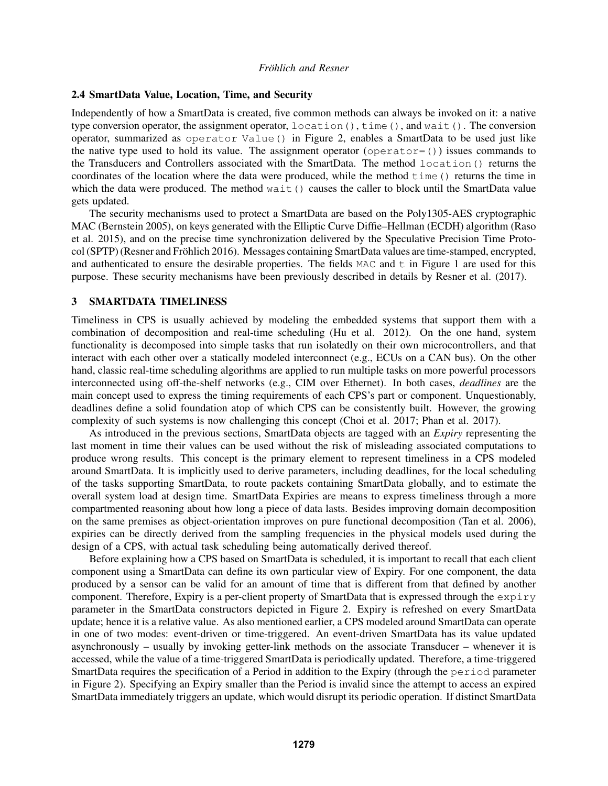### 2.4 SmartData Value, Location, Time, and Security

Independently of how a SmartData is created, five common methods can always be invoked on it: a native type conversion operator, the assignment operator, location(), time(), and wait(). The conversion operator, summarized as operator Value() in Figure 2, enables a SmartData to be used just like the native type used to hold its value. The assignment operator (operator=()) issues commands to the Transducers and Controllers associated with the SmartData. The method location() returns the coordinates of the location where the data were produced, while the method time() returns the time in which the data were produced. The method wait () causes the caller to block until the SmartData value gets updated.

The security mechanisms used to protect a SmartData are based on the Poly1305-AES cryptographic MAC (Bernstein 2005), on keys generated with the Elliptic Curve Diffie–Hellman (ECDH) algorithm (Raso et al. 2015), and on the precise time synchronization delivered by the Speculative Precision Time Protocol (SPTP) (Resner and Fröhlich 2016). Messages containing SmartData values are time-stamped, encrypted, and authenticated to ensure the desirable properties. The fields  $MAC$  and  $t$  in Figure 1 are used for this purpose. These security mechanisms have been previously described in details by Resner et al. (2017).

#### 3 SMARTDATA TIMELINESS

Timeliness in CPS is usually achieved by modeling the embedded systems that support them with a combination of decomposition and real-time scheduling (Hu et al. 2012). On the one hand, system functionality is decomposed into simple tasks that run isolatedly on their own microcontrollers, and that interact with each other over a statically modeled interconnect (e.g., ECUs on a CAN bus). On the other hand, classic real-time scheduling algorithms are applied to run multiple tasks on more powerful processors interconnected using off-the-shelf networks (e.g., CIM over Ethernet). In both cases, *deadlines* are the main concept used to express the timing requirements of each CPS's part or component. Unquestionably, deadlines define a solid foundation atop of which CPS can be consistently built. However, the growing complexity of such systems is now challenging this concept (Choi et al. 2017; Phan et al. 2017).

As introduced in the previous sections, SmartData objects are tagged with an *Expiry* representing the last moment in time their values can be used without the risk of misleading associated computations to produce wrong results. This concept is the primary element to represent timeliness in a CPS modeled around SmartData. It is implicitly used to derive parameters, including deadlines, for the local scheduling of the tasks supporting SmartData, to route packets containing SmartData globally, and to estimate the overall system load at design time. SmartData Expiries are means to express timeliness through a more compartmented reasoning about how long a piece of data lasts. Besides improving domain decomposition on the same premises as object-orientation improves on pure functional decomposition (Tan et al. 2006), expiries can be directly derived from the sampling frequencies in the physical models used during the design of a CPS, with actual task scheduling being automatically derived thereof.

Before explaining how a CPS based on SmartData is scheduled, it is important to recall that each client component using a SmartData can define its own particular view of Expiry. For one component, the data produced by a sensor can be valid for an amount of time that is different from that defined by another component. Therefore, Expiry is a per-client property of SmartData that is expressed through the  $\exp i r y$ parameter in the SmartData constructors depicted in Figure 2. Expiry is refreshed on every SmartData update; hence it is a relative value. As also mentioned earlier, a CPS modeled around SmartData can operate in one of two modes: event-driven or time-triggered. An event-driven SmartData has its value updated asynchronously – usually by invoking getter-link methods on the associate Transducer – whenever it is accessed, while the value of a time-triggered SmartData is periodically updated. Therefore, a time-triggered SmartData requires the specification of a Period in addition to the Expiry (through the period parameter in Figure 2). Specifying an Expiry smaller than the Period is invalid since the attempt to access an expired SmartData immediately triggers an update, which would disrupt its periodic operation. If distinct SmartData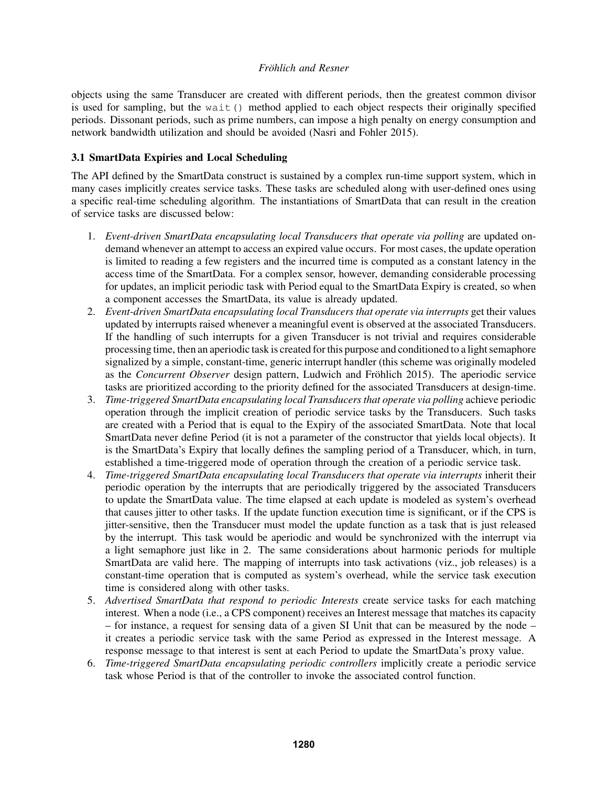objects using the same Transducer are created with different periods, then the greatest common divisor is used for sampling, but the wait() method applied to each object respects their originally specified periods. Dissonant periods, such as prime numbers, can impose a high penalty on energy consumption and network bandwidth utilization and should be avoided (Nasri and Fohler 2015).

# 3.1 SmartData Expiries and Local Scheduling

The API defined by the SmartData construct is sustained by a complex run-time support system, which in many cases implicitly creates service tasks. These tasks are scheduled along with user-defined ones using a specific real-time scheduling algorithm. The instantiations of SmartData that can result in the creation of service tasks are discussed below:

- 1. *Event-driven SmartData encapsulating local Transducers that operate via polling* are updated ondemand whenever an attempt to access an expired value occurs. For most cases, the update operation is limited to reading a few registers and the incurred time is computed as a constant latency in the access time of the SmartData. For a complex sensor, however, demanding considerable processing for updates, an implicit periodic task with Period equal to the SmartData Expiry is created, so when a component accesses the SmartData, its value is already updated.
- 2. *Event-driven SmartData encapsulating local Transducers that operate via interrupts get their values* updated by interrupts raised whenever a meaningful event is observed at the associated Transducers. If the handling of such interrupts for a given Transducer is not trivial and requires considerable processing time, then an aperiodic task is created for this purpose and conditioned to a light semaphore signalized by a simple, constant-time, generic interrupt handler (this scheme was originally modeled as the *Concurrent Observer* design pattern, Ludwich and Fröhlich 2015). The aperiodic service tasks are prioritized according to the priority defined for the associated Transducers at design-time.
- 3. *Time-triggered SmartData encapsulating local Transducers that operate via polling* achieve periodic operation through the implicit creation of periodic service tasks by the Transducers. Such tasks are created with a Period that is equal to the Expiry of the associated SmartData. Note that local SmartData never define Period (it is not a parameter of the constructor that yields local objects). It is the SmartData's Expiry that locally defines the sampling period of a Transducer, which, in turn, established a time-triggered mode of operation through the creation of a periodic service task.
- 4. *Time-triggered SmartData encapsulating local Transducers that operate via interrupts* inherit their periodic operation by the interrupts that are periodically triggered by the associated Transducers to update the SmartData value. The time elapsed at each update is modeled as system's overhead that causes jitter to other tasks. If the update function execution time is significant, or if the CPS is jitter-sensitive, then the Transducer must model the update function as a task that is just released by the interrupt. This task would be aperiodic and would be synchronized with the interrupt via a light semaphore just like in 2. The same considerations about harmonic periods for multiple SmartData are valid here. The mapping of interrupts into task activations (viz., job releases) is a constant-time operation that is computed as system's overhead, while the service task execution time is considered along with other tasks.
- 5. *Advertised SmartData that respond to periodic Interests* create service tasks for each matching interest. When a node (i.e., a CPS component) receives an Interest message that matches its capacity – for instance, a request for sensing data of a given SI Unit that can be measured by the node – it creates a periodic service task with the same Period as expressed in the Interest message. A response message to that interest is sent at each Period to update the SmartData's proxy value.
- 6. *Time-triggered SmartData encapsulating periodic controllers* implicitly create a periodic service task whose Period is that of the controller to invoke the associated control function.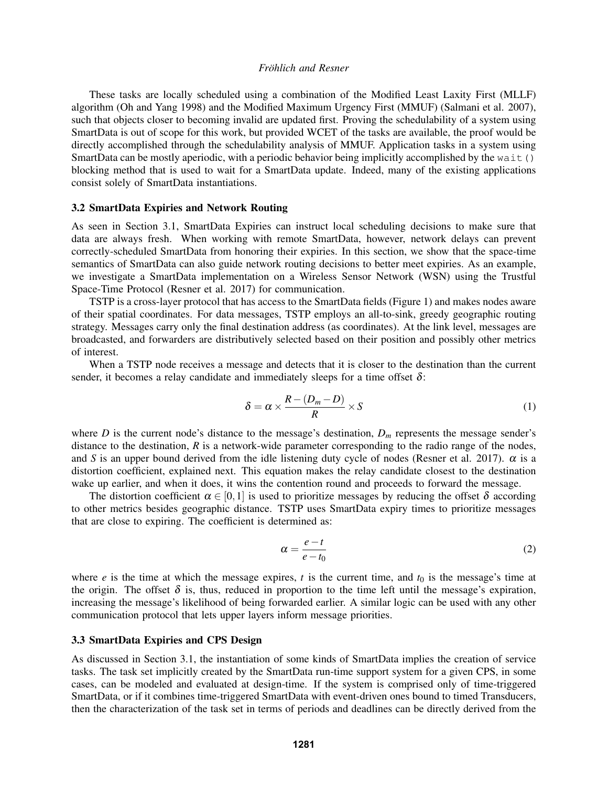These tasks are locally scheduled using a combination of the Modified Least Laxity First (MLLF) algorithm (Oh and Yang 1998) and the Modified Maximum Urgency First (MMUF) (Salmani et al. 2007), such that objects closer to becoming invalid are updated first. Proving the schedulability of a system using SmartData is out of scope for this work, but provided WCET of the tasks are available, the proof would be directly accomplished through the schedulability analysis of MMUF. Application tasks in a system using SmartData can be mostly aperiodic, with a periodic behavior being implicitly accomplished by the wait() blocking method that is used to wait for a SmartData update. Indeed, many of the existing applications consist solely of SmartData instantiations.

#### 3.2 SmartData Expiries and Network Routing

As seen in Section 3.1, SmartData Expiries can instruct local scheduling decisions to make sure that data are always fresh. When working with remote SmartData, however, network delays can prevent correctly-scheduled SmartData from honoring their expiries. In this section, we show that the space-time semantics of SmartData can also guide network routing decisions to better meet expiries. As an example, we investigate a SmartData implementation on a Wireless Sensor Network (WSN) using the Trustful Space-Time Protocol (Resner et al. 2017) for communication.

TSTP is a cross-layer protocol that has access to the SmartData fields (Figure 1) and makes nodes aware of their spatial coordinates. For data messages, TSTP employs an all-to-sink, greedy geographic routing strategy. Messages carry only the final destination address (as coordinates). At the link level, messages are broadcasted, and forwarders are distributively selected based on their position and possibly other metrics of interest.

When a TSTP node receives a message and detects that it is closer to the destination than the current sender, it becomes a relay candidate and immediately sleeps for a time offset  $\delta$ :

$$
\delta = \alpha \times \frac{R - (D_m - D)}{R} \times S \tag{1}
$$

where *D* is the current node's distance to the message's destination,  $D_m$  represents the message sender's distance to the destination, *R* is a network-wide parameter corresponding to the radio range of the nodes, and *S* is an upper bound derived from the idle listening duty cycle of nodes (Resner et al. 2017).  $\alpha$  is a distortion coefficient, explained next. This equation makes the relay candidate closest to the destination wake up earlier, and when it does, it wins the contention round and proceeds to forward the message.

The distortion coefficient  $\alpha \in [0,1]$  is used to prioritize messages by reducing the offset  $\delta$  according to other metrics besides geographic distance. TSTP uses SmartData expiry times to prioritize messages that are close to expiring. The coefficient is determined as:

$$
\alpha = \frac{e - t}{e - t_0} \tag{2}
$$

where  $e$  is the time at which the message expires,  $t$  is the current time, and  $t_0$  is the message's time at the origin. The offset  $\delta$  is, thus, reduced in proportion to the time left until the message's expiration, increasing the message's likelihood of being forwarded earlier. A similar logic can be used with any other communication protocol that lets upper layers inform message priorities.

### 3.3 SmartData Expiries and CPS Design

As discussed in Section 3.1, the instantiation of some kinds of SmartData implies the creation of service tasks. The task set implicitly created by the SmartData run-time support system for a given CPS, in some cases, can be modeled and evaluated at design-time. If the system is comprised only of time-triggered SmartData, or if it combines time-triggered SmartData with event-driven ones bound to timed Transducers, then the characterization of the task set in terms of periods and deadlines can be directly derived from the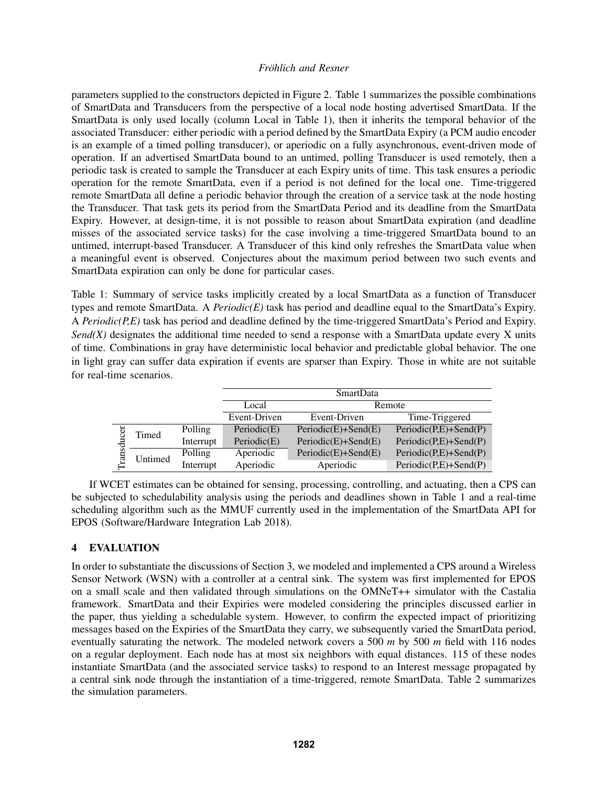parameters supplied to the constructors depicted in Figure 2. Table 1 summarizes the possible combinations of SmartData and Transducers from the perspective of a local node hosting advertised SmartData. If the SmartData is only used locally (column Local in Table 1), then it inherits the temporal behavior of the associated Transducer: either periodic with a period defined by the SmartData Expiry (a PCM audio encoder is an example of a timed polling transducer), or aperiodic on a fully asynchronous, event-driven mode of operation. If an advertised SmartData bound to an untimed, polling Transducer is used remotely, then a periodic task is created to sample the Transducer at each Expiry units of time. This task ensures a periodic operation for the remote SmartData, even if a period is not defined for the local one. Time-triggered remote SmartData all define a periodic behavior through the creation of a service task at the node hosting the Transducer. That task gets its period from the SmartData Period and its deadline from the SmartData Expiry. However, at design-time, it is not possible to reason about SmartData expiration (and deadline misses of the associated service tasks) for the case involving a time-triggered SmartData bound to an untimed, interrupt-based Transducer. A Transducer of this kind only refreshes the SmartData value when a meaningful event is observed. Conjectures about the maximum period between two such events and SmartData expiration can only be done for particular cases.

Table 1: Summary of service tasks implicitly created by a local SmartData as a function of Transducer types and remote SmartData. A *Periodic(E)* task has period and deadline equal to the SmartData's Expiry. A *Periodic(P,E)* task has period and deadline defined by the time-triggered SmartData's Period and Expiry. *Send(X)* designates the additional time needed to send a response with a SmartData update every X units of time. Combinations in gray have deterministic local behavior and predictable global behavior. The one in light gray can suffer data expiration if events are sparser than Expiry. Those in white are not suitable for real-time scenarios.

|           |         |           | <b>SmartData</b> |                       |                         |  |
|-----------|---------|-----------|------------------|-----------------------|-------------------------|--|
|           |         |           | Local            | Remote                |                         |  |
|           |         |           | Event-Driven     | Event-Driven          | Time-Triggered          |  |
| đ<br>rans | Timed   | Polling   | Periodic(E)      | $Periodic(E)+Send(E)$ | $Periodic(P,E)+Send(P)$ |  |
|           |         | Interrupt | Periodic $(E)$   | $Periodic(E)+Send(E)$ | $Periodic(P,E)+Send(P)$ |  |
|           | Untimed | Polling   | Aperiodic        | $Periodic(E)+Send(E)$ | $Periodic(P,E)+Send(P)$ |  |
|           |         | Interrupt | Aperiodic        | Aperiodic             | $Periodic(P,E)+Send(P)$ |  |

If WCET estimates can be obtained for sensing, processing, controlling, and actuating, then a CPS can be subjected to schedulability analysis using the periods and deadlines shown in Table 1 and a real-time scheduling algorithm such as the MMUF currently used in the implementation of the SmartData API for EPOS (Software/Hardware Integration Lab 2018).

# 4 EVALUATION

In order to substantiate the discussions of Section 3, we modeled and implemented a CPS around a Wireless Sensor Network (WSN) with a controller at a central sink. The system was first implemented for EPOS on a small scale and then validated through simulations on the OMNeT++ simulator with the Castalia framework. SmartData and their Expiries were modeled considering the principles discussed earlier in the paper, thus yielding a schedulable system. However, to confirm the expected impact of prioritizing messages based on the Expiries of the SmartData they carry, we subsequently varied the SmartData period, eventually saturating the network. The modeled network covers a 500 *m* by 500 *m* field with 116 nodes on a regular deployment. Each node has at most six neighbors with equal distances. 115 of these nodes instantiate SmartData (and the associated service tasks) to respond to an Interest message propagated by a central sink node through the instantiation of a time-triggered, remote SmartData. Table 2 summarizes the simulation parameters.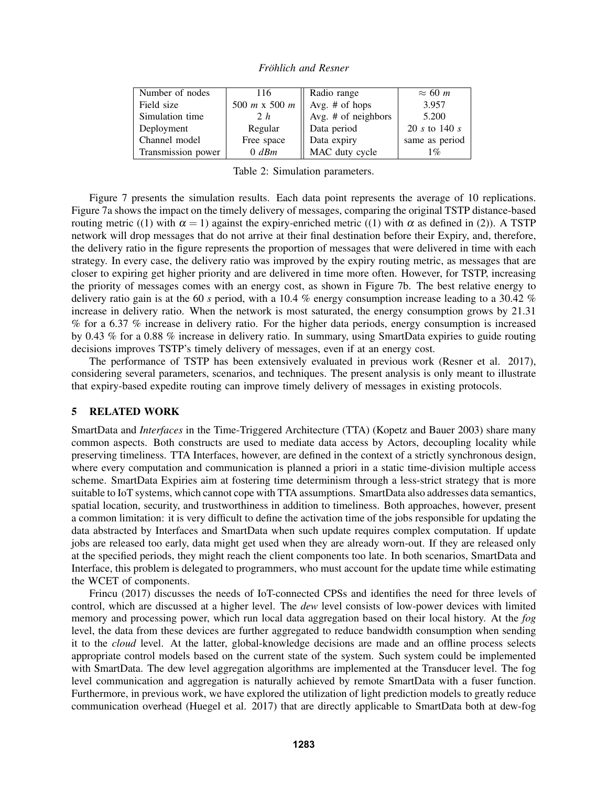| Number of nodes    | 116           | Radio range            | $\approx 60$ m |
|--------------------|---------------|------------------------|----------------|
| Field size         | 500 m x 500 m | $\vert$ Avg. # of hops | 3.957          |
| Simulation time    | 2 h           | Avg. # of neighbors    | 5.200          |
| Deployment         | Regular       | Data period            | 20 s to 140 s  |
| Channel model      | Free space    | Data expiry            | same as period |
| Transmission power | $0$ dBm       | MAC duty cycle         | $1\%$          |

*Fröhlich and Resner* 

Table 2: Simulation parameters.

Figure 7 presents the simulation results. Each data point represents the average of 10 replications. Figure 7a shows the impact on the timely delivery of messages, comparing the original TSTP distance-based routing metric ((1) with  $\alpha = 1$ ) against the expiry-enriched metric ((1) with α as defined in (2)). A TSTP network will drop messages that do not arrive at their final destination before their Expiry, and, therefore, the delivery ratio in the figure represents the proportion of messages that were delivered in time with each strategy. In every case, the delivery ratio was improved by the expiry routing metric, as messages that are closer to expiring get higher priority and are delivered in time more often. However, for TSTP, increasing the priority of messages comes with an energy cost, as shown in Figure 7b. The best relative energy to delivery ratio gain is at the 60 *s* period, with a 10.4 % energy consumption increase leading to a 30.42 % increase in delivery ratio. When the network is most saturated, the energy consumption grows by 21.31 % for a 6.37 % increase in delivery ratio. For the higher data periods, energy consumption is increased by 0.43 % for a 0.88 % increase in delivery ratio. In summary, using SmartData expiries to guide routing decisions improves TSTP's timely delivery of messages, even if at an energy cost.

The performance of TSTP has been extensively evaluated in previous work (Resner et al. 2017), considering several parameters, scenarios, and techniques. The present analysis is only meant to illustrate that expiry-based expedite routing can improve timely delivery of messages in existing protocols.

# 5 RELATED WORK

SmartData and *Interfaces* in the Time-Triggered Architecture (TTA) (Kopetz and Bauer 2003) share many common aspects. Both constructs are used to mediate data access by Actors, decoupling locality while preserving timeliness. TTA Interfaces, however, are defined in the context of a strictly synchronous design, where every computation and communication is planned a priori in a static time-division multiple access scheme. SmartData Expiries aim at fostering time determinism through a less-strict strategy that is more suitable to IoT systems, which cannot cope with TTA assumptions. SmartData also addresses data semantics, spatial location, security, and trustworthiness in addition to timeliness. Both approaches, however, present a common limitation: it is very difficult to define the activation time of the jobs responsible for updating the data abstracted by Interfaces and SmartData when such update requires complex computation. If update jobs are released too early, data might get used when they are already worn-out. If they are released only at the specified periods, they might reach the client components too late. In both scenarios, SmartData and Interface, this problem is delegated to programmers, who must account for the update time while estimating the WCET of components.

Frincu (2017) discusses the needs of IoT-connected CPSs and identifies the need for three levels of control, which are discussed at a higher level. The *dew* level consists of low-power devices with limited memory and processing power, which run local data aggregation based on their local history. At the *fog* level, the data from these devices are further aggregated to reduce bandwidth consumption when sending it to the *cloud* level. At the latter, global-knowledge decisions are made and an offline process selects appropriate control models based on the current state of the system. Such system could be implemented with SmartData. The dew level aggregation algorithms are implemented at the Transducer level. The fog level communication and aggregation is naturally achieved by remote SmartData with a fuser function. Furthermore, in previous work, we have explored the utilization of light prediction models to greatly reduce communication overhead (Huegel et al. 2017) that are directly applicable to SmartData both at dew-fog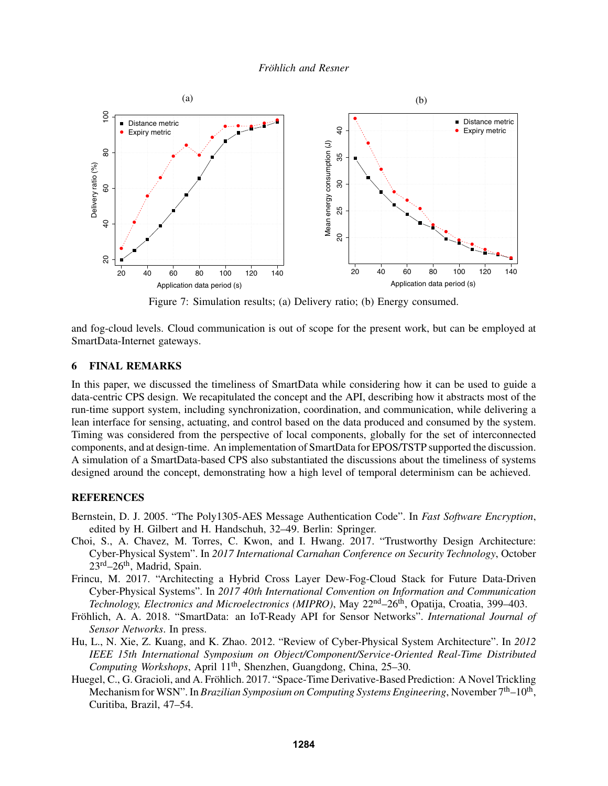

Figure 7: Simulation results; (a) Delivery ratio; (b) Energy consumed.

and fog-cloud levels. Cloud communication is out of scope for the present work, but can be employed at SmartData-Internet gateways.

## 6 FINAL REMARKS

In this paper, we discussed the timeliness of SmartData while considering how it can be used to guide a data-centric CPS design. We recapitulated the concept and the API, describing how it abstracts most of the run-time support system, including synchronization, coordination, and communication, while delivering a lean interface for sensing, actuating, and control based on the data produced and consumed by the system. Timing was considered from the perspective of local components, globally for the set of interconnected components, and at design-time. An implementation of SmartData for EPOS/TSTP supported the discussion. A simulation of a SmartData-based CPS also substantiated the discussions about the timeliness of systems designed around the concept, demonstrating how a high level of temporal determinism can be achieved.

### **REFERENCES**

- Bernstein, D. J. 2005. "The Poly1305-AES Message Authentication Code". In *Fast Software Encryption*, edited by H. Gilbert and H. Handschuh, 32–49. Berlin: Springer.
- Choi, S., A. Chavez, M. Torres, C. Kwon, and I. Hwang. 2017. "Trustworthy Design Architecture: Cyber-Physical System". In *2017 International Carnahan Conference on Security Technology*, October  $23^{\text{rd}} - 26^{\text{th}}$ , Madrid, Spain.
- Frincu, M. 2017. "Architecting a Hybrid Cross Layer Dew-Fog-Cloud Stack for Future Data-Driven Cyber-Physical Systems". In *2017 40th International Convention on Information and Communication Technology, Electronics and Microelectronics (MIPRO)*, May 22<sup>nd</sup>–26<sup>th</sup>, Opatija, Croatia, 399–403.
- Fröhlich, A. A. 2018. "SmartData: an IoT-Ready API for Sensor Networks". *International Journal of Sensor Networks*. In press.
- Hu, L., N. Xie, Z. Kuang, and K. Zhao. 2012. "Review of Cyber-Physical System Architecture". In *2012 IEEE 15th International Symposium on Object/Component/Service-Oriented Real-Time Distributed Computing Workshops*, April 11<sup>th</sup>, Shenzhen, Guangdong, China, 25–30.
- Huegel, C., G. Gracioli, and A. Fröhlich. 2017. "Space-Time Derivative-Based Prediction: A Novel Trickling Mechanism for WSN". In *Brazilian Symposium on Computing Systems Engineering*, November 7<sup>th</sup>–10<sup>th</sup>, Curitiba, Brazil, 47–54.